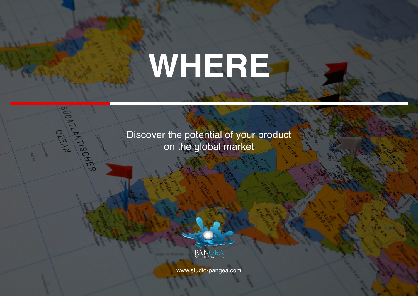# **WHERE**

Discover the potential of your product on the global market

SUDATIANN OTEAN



www.studio-pangea.com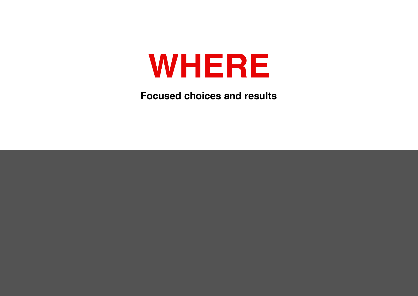## **WHERE**

**Focused choices and results**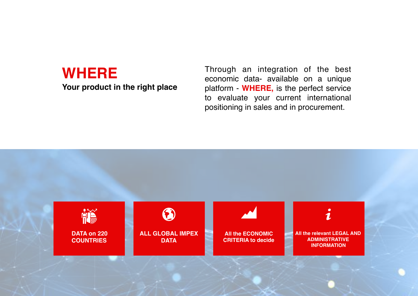### **WHERE**

**Your product in the right place** 

Through an integration of the best economic data- available on a unique platform - **WHERE,** is the perfect service to evaluate your current international positioning in sales and in procurement.

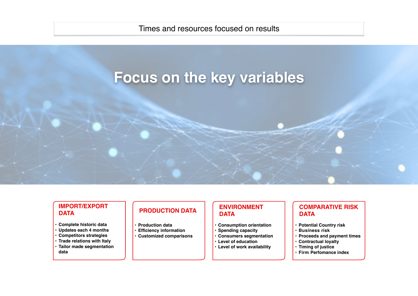#### Times and resources focused on results

## **Focus on the key variables**

#### **IMPORT/EXPORT DATA**

- **• Complete historic data**
- **• Updates each 4 months**
- **• Competitors strategies**
- **• Trade relations with Italy**
- **• Tailor made segmentation data**

#### **PRODUCTION DATA**

- **• Production data**
- **• Efficiency information**
- **• Customized comparisons**

#### **ENVIRONMENT DATA**

- **• Consumption orientation**
- **• Spending capacity**
- **• Consumers segmentation**
- **• Level of education**
- **• Level of work availability**
- **• Firm Perfomance index**

**• Contractual loyalty • Timing of justice**

**• Potential Country risk • Business risk**

**DATA**

**COMPARATIVE RISK** 

**• Proceeds and payment times**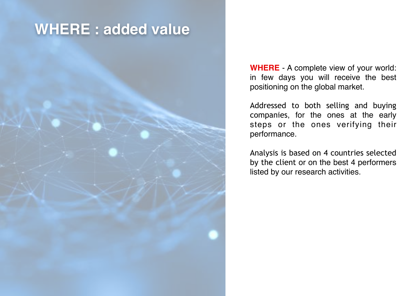## **WHERE : added value**

**WHERE** - A complete view of your world: in few days you will receive the best positioning on the global market.

Addressed to both selling and buying companies, for the ones at the early steps or the ones verifying their performance.

Analysis is based on 4 countries selected by the client or on the best 4 performers listed by our research activities.